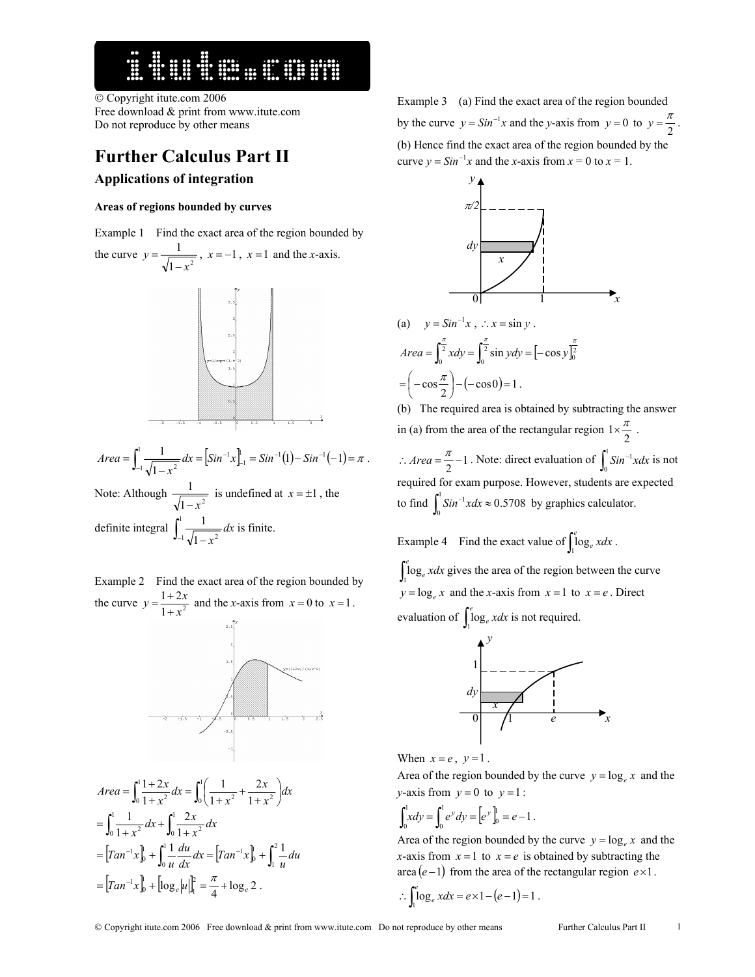# 

 Copyright itute.com 2006 Free download & print from www.itute.com Do not reproduce by other means

# **Further Calculus Part II Applications of integration**

### **Areas of regions bounded by curves**

Example 1 Find the exact area of the region bounded by the curve  $y = \frac{1}{\sqrt{1 - x^2}}$ *x y* −  $=\frac{1}{\sqrt{2\pi}}$ ,  $x=-1$ ,  $x=1$  and the *x*-axis.



 $= | Sin^{-1}x |_{-1}^1 = Sin^{-1}(1) - Sin^{-1}(-1) = \pi$ −  $=\int_{-1}^{1} \frac{1}{\sqrt{1-x^2}} dx = \left[ Sin^{-1}x \right]_{-1}^{1} = Sin^{-1}(1) - Sin^{-1}(-1)$ 1  $\frac{1}{\sqrt{1-x^2}} dx = \left[\sin^{-1}x\right]_{-1}^{1} = \sin^{-1}(1) - \sin^{-1}(1)$ *Area* =  $\int \frac{1}{\sqrt{2\pi}} dx = |\sin^{-1}x|_{-1}^{1} = \sin^{-1}(1) - \sin^{-1}(-1) = \pi$ . Note: Although  $\frac{1}{\sqrt{1-x^2}}$ − *x* is undefined at  $x = \pm 1$ , the definite integral  $\int_{-1}^{1} \frac{1}{\sqrt{1-\cdots}}$  $1\sqrt{1-x^2}$  $\frac{1}{x}$ *x* is finite.

Example 2 Find the exact area of the region bounded by the curve  $y = \frac{1+2x}{1+x^2}$  $y = \frac{1+2x}{1+x^2}$  and the *x*-axis from  $x = 0$  to  $x = 1$ .





Example 3 (a) Find the exact area of the region bounded by the curve  $y = Sin^{-1}x$  and the *y*-axis from  $y = 0$  to  $y = \frac{\pi}{2}$ . (b) Hence find the exact area of the region bounded by the curve  $y = Sin^{-1}x$  and the *x*-axis from  $x = 0$  to  $x = 1$ .



(a) 
$$
y = Sin^{-1}x
$$
,  $\therefore x = sin y$ .  
\n
$$
Area = \int_0^{\frac{\pi}{2}} x dy = \int_0^{\frac{\pi}{2}} sin y dy = [-cos y]_0^{\frac{\pi}{2}}
$$
\n
$$
= \left( -cos \frac{\pi}{2} \right) - (-cos 0) = 1.
$$

(b) The required area is obtained by subtracting the answer in (a) from the area of the rectangular region  $1 \times \frac{\pi}{2}$ . ∴ *Area* =  $\frac{\pi}{2}$  – 1. Note: direct evaluation of  $\int_0^1 Sin^{-1}xdx$  is not required for exam purpose. However, students are expected to find  $\int_0^1 Sin^{-1}xdx \approx 0.5708$  by graphics calculator.

Example 4 Find the exact value of  $\int_1^e \log_e x dx$ .

 $\int_{1}^{e}$ log<sub>e</sub> *xdx* gives the area of the region between the curve  $y = \log_e x$  and the *x*-axis from  $x = 1$  to  $x = e$ . Direct evaluation of  $\int_1^e \log_e x dx$  is not required.



When  $x = e$ ,  $y = 1$ .

Area of the region bounded by the curve  $y = \log_e x$  and the *y*-axis from  $y = 0$  to  $y = 1$ :

$$
\int_0^1 x dy = \int_0^1 e^y dy = \left[ e^y \right]_0^1 = e - 1.
$$

Area of the region bounded by the curve  $y = \log_e x$  and the *x*-axis from  $x = 1$  to  $x = e$  is obtained by subtracting the area (*e* −1) from the area of the rectangular region *e*×1.

$$
\therefore \int_1^e \log_e x dx = e \times 1 - (e - 1) = 1.
$$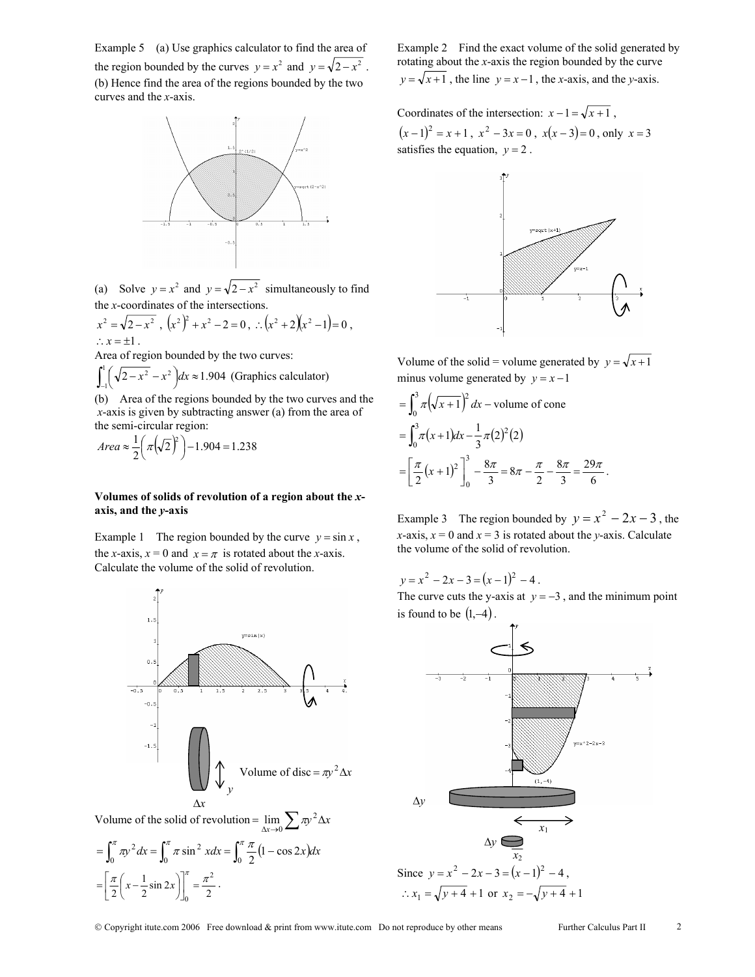Example 5 (a) Use graphics calculator to find the area of the region bounded by the curves  $y = x^2$  and  $y = \sqrt{2-x^2}$ . (b) Hence find the area of the regions bounded by the two curves and the *x*-axis.



(a) Solve  $y = x^2$  and  $y = \sqrt{2-x^2}$  simultaneously to find the *x*-coordinates of the intersections.

$$
x2 = \sqrt{2-x2} , (x2)2 + x2 - 2 = 0 , : (x2 + 2)(x2 - 1) = 0 ,
$$
  
:. x = ±1 .

Area of region bounded by the two curves:

 $\int_{-1}^{1} \left( \sqrt{2 - x^2} - x^2 \right) dx \approx 1.904$  (Graphics calculator)

(b) Area of the regions bounded by the two curves and the *x*-axis is given by subtracting answer (a) from the area of the semi-circular region:

$$
Area \approx \frac{1}{2} \left( \pi \left( \sqrt{2} \right)^2 \right) - 1.904 = 1.238
$$

## **Volumes of solids of revolution of a region about the** *x***axis, and the** *y***-axis**

Example 1 The region bounded by the curve  $y = \sin x$ , the *x*-axis,  $x = 0$  and  $x = \pi$  is rotated about the *x*-axis. Calculate the volume of the solid of revolution.



Volume of the solid of revolution =  $\lim_{\Delta x \to 0} \sum \pi y^2 \Delta x$  $\lim_{\Delta x \to 0} \sum \pi$ 

$$
= \int_0^{\pi} \pi y^2 dx = \int_0^{\pi} \pi \sin^2 x dx = \int_0^{\pi} \frac{\pi}{2} (1 - \cos 2x) dx
$$

$$
= \left[ \frac{\pi}{2} \left( x - \frac{1}{2} \sin 2x \right) \right]_0^{\pi} = \frac{\pi^2}{2}.
$$

Example 2 Find the exact volume of the solid generated by rotating about the *x*-axis the region bounded by the curve  $y = \sqrt{x+1}$ , the line  $y = x-1$ , the *x*-axis, and the *y*-axis.

Coordinates of the intersection:  $x - 1 = \sqrt{x+1}$ ,  $(x-1)^2 = x+1$ ,  $x^2 - 3x = 0$ ,  $x(x-3) = 0$ , only  $x = 3$ satisfies the equation,  $y = 2$ .



Volume of the solid = volume generated by  $y = \sqrt{x+1}$ minus volume generated by  $y = x - 1$ 

$$
= \int_0^3 \pi \left(\sqrt{x+1}\right)^2 dx - \text{volume of cone}
$$
  
= 
$$
\int_0^3 \pi (x+1) dx - \frac{1}{3} \pi (2)^2 (2)
$$
  
= 
$$
\left[\frac{\pi}{2} (x+1)^2\right]_0^3 - \frac{8\pi}{3} = 8\pi - \frac{\pi}{2} - \frac{8\pi}{3} = \frac{29\pi}{6}.
$$

Example 3 The region bounded by  $y = x^2 - 2x - 3$ , the *x*-axis,  $x = 0$  and  $x = 3$  is rotated about the *y*-axis. Calculate the volume of the solid of revolution.

 $y = x^2 - 2x - 3 = (x - 1)^2 - 4$ .

The curve cuts the y-axis at  $y = -3$ , and the minimum point is found to be  $(1,-4)$ .



Copyright itute.com 2006 Free download & print from www.itute.com Do not reproduce by other means Further Calculus Part II 2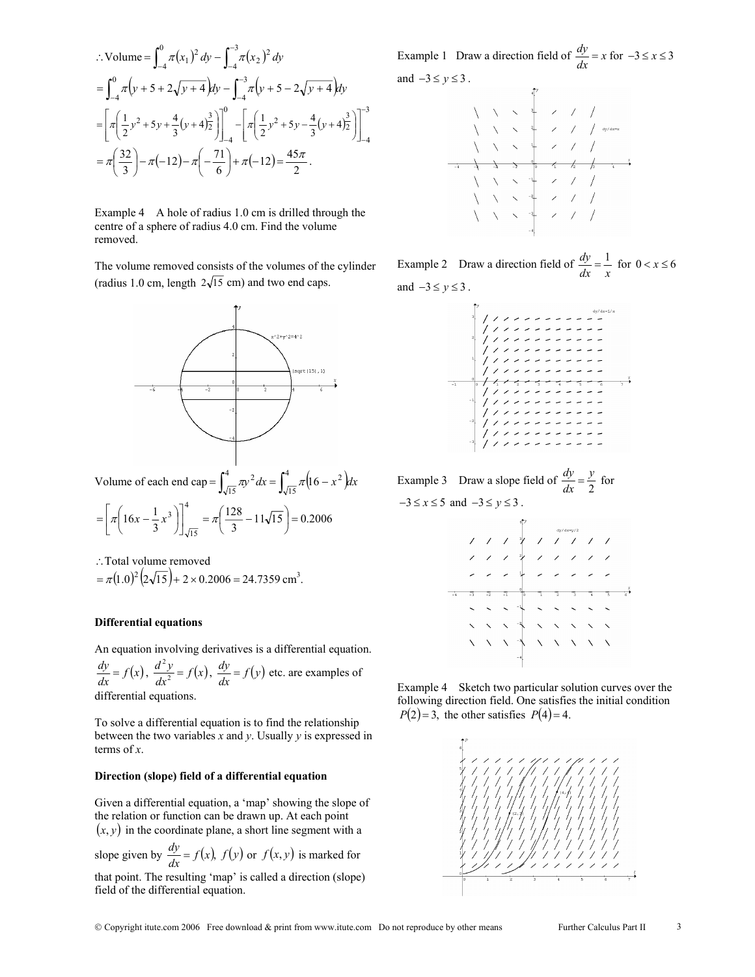$$
\begin{split}\n\therefore \text{Volume} &= \int_{-4}^{0} \pi (x_1)^2 \, dy - \int_{-4}^{-3} \pi (x_2)^2 \, dy \\
&= \int_{-4}^{0} \pi \left( y + 5 + 2\sqrt{y + 4} \right) dy - \int_{-4}^{-3} \pi \left( y + 5 - 2\sqrt{y + 4} \right) dy \\
&= \left[ \pi \left( \frac{1}{2} y^2 + 5y + \frac{4}{3} (y + 4) \right)_{-4}^{3} \right]_{-4}^{0} - \left[ \pi \left( \frac{1}{2} y^2 + 5y - \frac{4}{3} (y + 4) \right)_{-4}^{3} \right]_{-4}^{-3} \\
&= \pi \left( \frac{32}{3} \right) - \pi (-12) - \pi \left( -\frac{71}{6} \right) + \pi (-12) = \frac{45\pi}{2} \, .\n\end{split}
$$

Example 4 A hole of radius 1.0 cm is drilled through the centre of a sphere of radius 4.0 cm. Find the volume removed.

The volume removed consists of the volumes of the cylinder (radius 1.0 cm, length  $2\sqrt{15}$  cm) and two end caps.



∴Total volume removed  $= \pi (1.0)^2 (2\sqrt{15}) + 2 \times 0.2006 = 24.7359 \text{ cm}^3.$ 

#### **Differential equations**

An equation involving derivatives is a differential equation.

 $\frac{dy}{dx} = f(x)$ ,  $\frac{d^2y}{dx^2} = f(x)$ ,  $\frac{dy}{dx} = f(y)$  etc. are examples of differential equations.

To solve a differential equation is to find the relationship between the two variables *x* and *y*. Usually *y* is expressed in terms of *x*.

#### **Direction (slope) field of a differential equation**

Given a differential equation, a 'map' showing the slope of the relation or function can be drawn up. At each point  $(x, y)$  in the coordinate plane, a short line segment with a

slope given by  $\frac{dy}{dx} = f(x)$ ,  $f(y)$  or  $f(x, y)$  is marked for that point. The resulting 'map' is called a direction (slope) field of the differential equation.

Example 1 Draw a direction field of  $\frac{dy}{dx} = x$  for  $-3 \le x \le 3$ and  $-3 \le y \le 3$ .

Example 2 Draw a direction field of  $\frac{dy}{dx} = \frac{1}{x}$  for  $0 < x \le 6$ and  $-3 \leq y \leq 3$ .



Example 3 Draw a slope field of  $\frac{dy}{dx} = \frac{y}{2}$  $\frac{dy}{dx} = \frac{y}{2}$  for  $-3 \le x \le 5$  and  $-3 \le y \le 3$ .



Example 4 Sketch two particular solution curves over the following direction field. One satisfies the initial condition  $P(2) = 3$ , the other satisfies  $P(4) = 4$ .

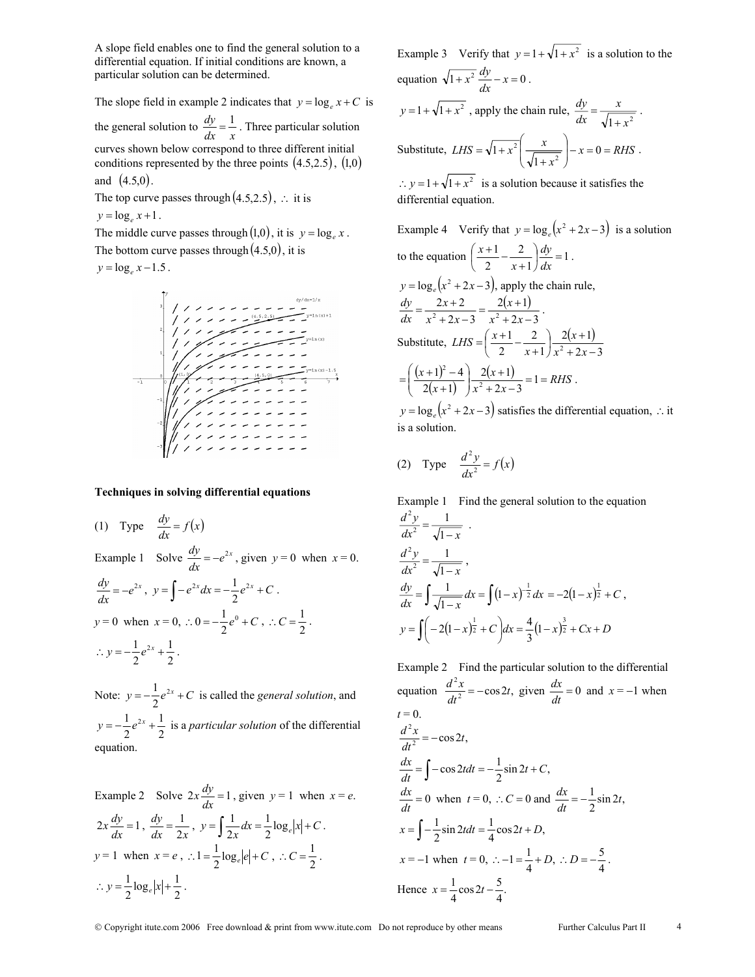A slope field enables one to find the general solution to a differential equation. If initial conditions are known, a particular solution can be determined.

The slope field in example 2 indicates that  $y = \log_e x + C$  is the general solution to  $\frac{dy}{dx} = \frac{1}{x}$ . Three particular solution curves shown below correspond to three different initial conditions represented by the three points  $(4.5, 2.5)$ ,  $(1, 0)$ and  $(4.5,0)$ .

The top curve passes through  $(4.5,2.5)$ , ∴ it is

 $y = \log_e x + 1$ .

The middle curve passes through  $(1,0)$ , it is  $y = \log_e x$ . The bottom curve passes through  $(4.5,0)$ , it is

 $y = \log_e x - 1.5$ .



#### **Techniques in solving differential equations**

(1) Type 
$$
\frac{dy}{dx} = f(x)
$$
  
\nExample 1 Solve  $\frac{dy}{dx} = -e^{2x}$ , given  $y = 0$  when  $x = 0$ .  
\n $\frac{dy}{dx} = -e^{2x}$ ,  $y = \int -e^{2x} dx = -\frac{1}{2}e^{2x} + C$ .  
\n $y = 0$  when  $x = 0$ ,  $\therefore 0 = -\frac{1}{2}e^{0} + C$ ,  $\therefore C = \frac{1}{2}$ .  
\n $\therefore y = -\frac{1}{2}e^{2x} + \frac{1}{2}$ .

Note:  $y = -\frac{1}{2}e^{2x} + C$  is called the *general solution*, and 2 1  $y = -\frac{1}{2}e^{2x} + \frac{1}{2}$  is a *particular solution* of the differential equation.

Example 2 Solve  $2x \frac{dy}{dx} = 1$ , given  $y = 1$  when  $x = e$ .  $2x \frac{dy}{dx} = 1$ ,  $\frac{dy}{dx} = \frac{1}{2x}$  $=\frac{1}{2x}$ ,  $y = \int \frac{1}{2x} dx = \frac{1}{2} \log_e |x| + C$ 1  $\frac{1}{2x}dx = \frac{1}{2}\log_e|x| + C$ .  $y = 1$  when  $x = e$ ,  $\therefore 1 = \frac{1}{2} \log_e |e| + C$ ,  $\therefore C = \frac{1}{2}$ .  $\frac{1}{2} \log_e |x| + \frac{1}{2}$  $\therefore y = \frac{1}{2} \log_e |x| + \frac{1}{2}.$ 

Example 3 Verify that  $y = 1 + \sqrt{1 + x^2}$  is a solution to the equation  $\sqrt{1 + x^2} \frac{dy}{dx} - x = 0$ .  $y = 1 + \sqrt{1 + x^2}$ , apply the chain rule,  $\frac{dy}{dx} = \frac{x}{\sqrt{1 + x^2}}$ *dx dy* +  $=\frac{x}{\sqrt{2}}$ . Substitute,  $LHS = \sqrt{1 + x^2} \rightarrow \frac{x}{\sqrt{1 - x^2}} \rightarrow -x = 0 = RHS$  $LHS = \sqrt{1 + x^2} \left( \frac{x}{\sqrt{1 + x^2}} \right) - x = 0 =$ J Ι  $\overline{\phantom{a}}$ ∖ ſ +  $= \sqrt{1 + x^2} \frac{x}{1 - x} - x = 0$  $1 + x^2 \left( \frac{x}{\sqrt{1 + x^2}} \right) - x = 0 = RHS$ .  $\therefore$  *y* = 1 +  $\sqrt{1+x^2}$  is a solution because it satisfies the

differential equation.

Example 4 Verify that  $y = \log_e ( x^2 + 2x - 3 )$  is a solution to the equation  $\left(\frac{x+1}{2} - \frac{2}{x+1}\right) \frac{dy}{dx} = 1$ 2  $\left(\frac{x+1}{2} - \frac{2}{x+1}\right) \frac{dy}{dx} =$ l  $\left(\frac{x+1}{2} - \frac{2}{x+1}\right) \frac{dy}{dx}$ *dy*  $\left(\frac{x+1}{2} - \frac{2}{x+1}\right) \frac{dy}{dx} = 1$ .  $y = \log_e(x^2 + 2x - 3)$ , apply the chain rule,  $(x+1)$  $2x - 3$  $2(x+1)$  $2x - 3$  $2x + 2$  $=\frac{2x+2}{x^2+2x-3}=\frac{2(x+1)}{x^2+2x-3}$  $x^2 + 2x$ *x*  $\frac{dy}{dx} = \frac{2x+2}{x^2+2x-3} = \frac{2(x+1)}{x^2+2x-3}$ . Substitute,  $LHS = \left(\frac{x+1}{2} - \frac{2}{x+1}\right) \frac{2(x+1)}{x^2 + 2x - 3}$  $2(x+1)$ 1 2 2 1  $\left(\frac{x+1}{2} - \frac{2}{x+1}\right) \frac{2(x+1)}{x^2 + 2x - 1}$  $=\left(\frac{x+1}{2} - \frac{2}{x+1}\right) \frac{2(x+1)}{x^2+2x}$  $LHS = \left(\frac{x+1}{2} - \frac{x+1}{x}\right)$  $(x+1)$  $\frac{(x+1)^2-4}{(x+1)}$  $\frac{2(x+1)}{x^2+2x-3} = 1 = RHS$  $\frac{(x+1)^2-4}{2(x+1)}$  $\frac{2(x+1)}{x^2+2x-3} = 1 =$  $\overline{\phantom{a}}$ J Ι  $\overline{\phantom{a}}$ l ſ  $=\left(\frac{(x+1)^2-4}{2(x+1)}\right)\frac{2(x+1)}{x^2+2x-3}=1$  $2(x+1)$  $2(x+1)$  $(1)^2 - 4$ 2  $\frac{2^2-4}{2}$   $\frac{2(x+1)}{2}$  = 1 = RHS.  $y = log_e(x^2 + 2x - 3)$  satisfies the differential equation, ∴ it is a solution.

(2) Type 
$$
\frac{d^2y}{dx^2} = f(x)
$$

Example 1 Find the general solution to the equation  $dx^2$   $\sqrt{1-x}$  $rac{d^2y}{dx^2} = \frac{1}{\sqrt{1-x^2}}$ 2 2 .

$$
\frac{d^2y}{dx^2} = \frac{1}{\sqrt{1-x}},
$$
  
\n
$$
\frac{dy}{dx} = \int \frac{1}{\sqrt{1-x}} dx = \int (1-x)^{-\frac{1}{2}} dx = -2(1-x)^{\frac{1}{2}} + C,
$$
  
\n
$$
y = \int (-2(1-x)^{\frac{1}{2}} + C) dx = \frac{4}{3}(1-x)^{\frac{3}{2}} + Cx + D
$$

Example 2 Find the particular solution to the differential equation  $\frac{d^2x}{dt^2} = -\cos 2t$ , given  $\frac{dx}{dt} = 0$  and  $x = -1$  when  $t = 0$ .  $\frac{d^2x}{dt^2} = -\cos 2t,$  $\frac{dx}{dt} = \int -\cos 2t dt = -\frac{1}{2}\sin 2t + C,$ *dx*  $\frac{dx}{dt} = 0$  when  $t = 0$ , ∴ *C* = 0 and  $\frac{dx}{dt} = -\frac{1}{2}\sin 2t$ ,  $x = \int -\frac{1}{2}\sin 2t dt = \frac{1}{4}\cos 2t + D,$  $x = -1$  when  $t = 0$ ,  $\therefore -1 = \frac{1}{4} + D$ ,  $\therefore D = -\frac{5}{4}$  $\therefore D = -\frac{5}{4}$ . Hence  $x = \frac{1}{4} \cos 2t - \frac{5}{4}$ .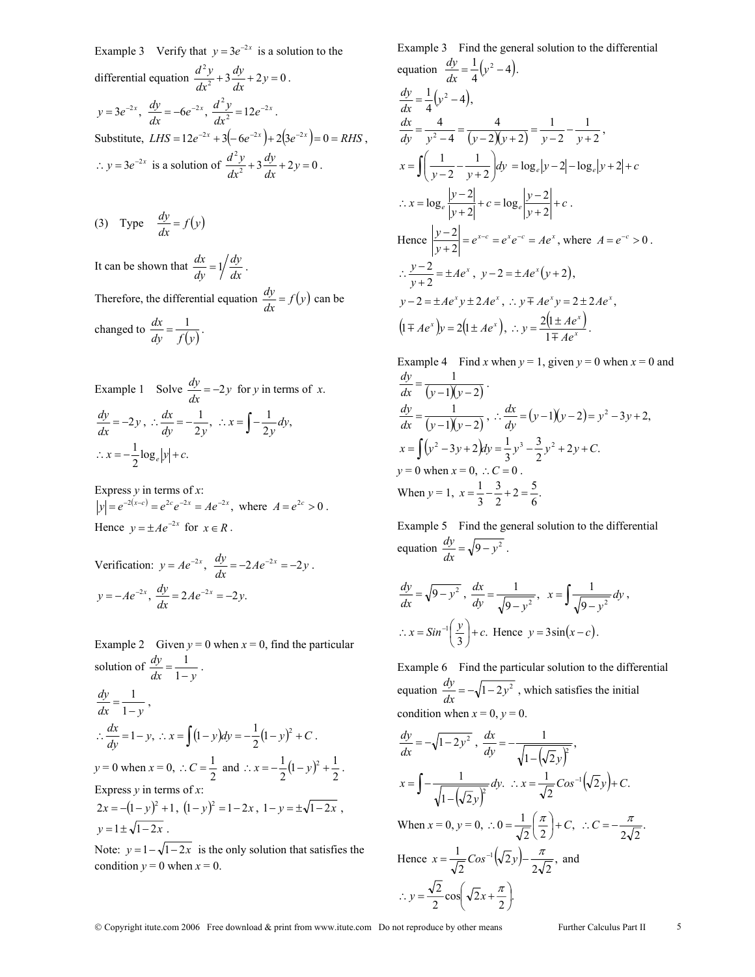Example 3 Verify that  $y = 3e^{-2x}$  is a solution to the differential equation  $\frac{d^2y}{dx^2} + 3\frac{dy}{dx} + 2y = 0$  $\frac{d^2y}{dx^2} + 3\frac{dy}{dx} + 2y = 0$ .  $y = 3e^{-2x}$ ,  $\frac{dy}{dx} = -6e^{-2x}$ ,  $\frac{d^2y}{dx^2} = 12e^{-2x}$  $\frac{2y}{2} = 12e^{-2x}$ . Substitute,  $LHS = 12e^{-2x} + 3(-6e^{-2x}) + 2(3e^{-2x}) = 0 = RHS$ ,  $\therefore$  *y* = 3*e*<sup>-2*x*</sup> is a solution of  $\frac{d^2y}{dx^2} + 3\frac{dy}{dx} + 2y = 0$  $\frac{d^2y}{dx^2} + 3\frac{dy}{dx} + 2y = 0$ .

(3) Type 
$$
\frac{dy}{dx} = f(y)
$$

It can be shown that  $\frac{dx}{dy} = 1 / \frac{dy}{dx}$ *dy*  $\frac{dx}{dy} = 1 / \frac{dy}{dx}$ . Therefore, the differential equation  $\frac{dy}{dx} = f(y)$  can be changed to  $\frac{dx}{dy} = \frac{1}{f(y)}$ .

Example 1 Solve 
$$
\frac{dy}{dx} = -2y
$$
 for y in terms of x.  
\n
$$
\frac{dy}{dx} = -2y, \therefore \frac{dx}{dy} = -\frac{1}{2y}, \therefore x = \int -\frac{1}{2y} dy,
$$
\n
$$
\therefore x = -\frac{1}{2} \log_e |y| + c.
$$

Express *y* in terms of *x*:  $|y| = e^{-2(x-c)} = e^{2c} e^{-2x} = Ae^{-2x}$ , where  $A = e^{2c} > 0$ . Hence  $v = \pm Ae^{-2x}$  for  $x \in R$ .

Verification: 
$$
y = Ae^{-2x}
$$
,  $\frac{dy}{dx} = -2Ae^{-2x} = -2y$ .  
\n $y = -Ae^{-2x}$ ,  $\frac{dy}{dx} = 2Ae^{-2x} = -2y$ .

Example 2 Given  $y = 0$  when  $x = 0$ , find the particular solution of  $\frac{dy}{dx} = \frac{1}{1-y}$  $\frac{dy}{dx} = \frac{1}{1-y}.$  $dx$   $1-y$  $\frac{dy}{dx} = \frac{1}{1-y}$ ∴  $\frac{dx}{dy}$  = 1 – *y*, ∴ *x* =  $\int (1 - y) dy$  =  $-\frac{1}{2}(1 - y)^2$  + *C*.  $y = 0$  when  $x = 0$ ,  $\therefore C = \frac{1}{2}$  and  $\therefore x = -\frac{1}{2}(1 - y)^2 + \frac{1}{2}$ . Express  $v$  in terms of  $x$  $2x = -(1 - y)^2 + 1$ ,  $(1 - y)^2 = 1 - 2x$ ,  $1 - y = \pm \sqrt{1 - 2x}$ ,  $y = 1 \pm \sqrt{1-2x}$ .

Note:  $y = 1 - \sqrt{1 - 2x}$  is the only solution that satisfies the condition  $y = 0$  when  $x = 0$ .

Example 3 Find the general solution to the differential equation  $\frac{dy}{dx} = \frac{1}{4}(y^2 - 4)$ .  $\frac{dy}{dx} = \frac{1}{4} (y^2 - 4),$  $(y-2)(y+2)$   $y-2$   $y+2$ 1 2 1  $2)(y+2)$ 4 4  $\frac{dx}{dy} = \frac{4}{y^2 - 4} = \frac{4}{(y - 2)(y + 2)} = \frac{1}{y - 2} - \frac{1}{y + 2}$  $\int \left( \frac{1}{v-2} - \frac{1}{v+2} \right)$ J  $\backslash$  $\overline{\phantom{a}}$ ∖  $x = \int \left( \frac{1}{y-2} - \frac{1}{y+2} \right) dy$ 2  $\frac{1}{2} - \frac{1}{y^{2}} dy = \log_e |y - 2| - \log_e |y + 2| + c$ ∴  $x = \log_e \frac{|y-2|}{|y+2|} + c = \log_e \frac{|y-2|}{|y+2|} + c$ . Hence  $\left| \frac{y-2}{y+2} \right| = e^{x-c} = e^x e^{-c} = Ae^x$  $\frac{2}{2}$  =  $e^{x-c} = e^x e^{-c} = Ae^x$ , where  $A = e^{-c} > 0$ .

$$
\therefore \frac{y-2}{y+2} = \pm Ae^{x}, \ y-2 = \pm Ae^{x}(y+2), \ny-2 = \pm Ae^{x}y \pm 2Ae^{x}, \therefore y \mp Ae^{x}y = 2 \pm 2Ae^{x}, \n(1 \mp Ae^{x})y = 2(1 \pm Ae^{x}), \therefore y = \frac{2(1 \pm Ae^{x})}{1 \mp Ae^{x}}.
$$

Example 4 Find *x* when  $y = 1$ , given  $y = 0$  when  $x = 0$  and  $(y-1)(y-2)$  $\frac{dy}{dx} = \frac{1}{(y-1)(y-2)}$ .  $(y-1)(y-2)$  $\frac{dy}{dx} = \frac{1}{(y-1)(y-2)}, \therefore \frac{dx}{dy} = (y-1)(y-2) = y^2 - 3y + 2,$ *dx*  $(y^2 - 3y + 2)dy = \frac{1}{3}y^3 - \frac{3}{2}y^2 + 2y + C.$  $x = \int (y^2 - 3y + 2) dy = \frac{1}{3}y^3 - \frac{3}{2}y^2 + 2y + C$  $y = 0$  when  $x = 0$ , ∴  $C = 0$ . When  $y = 1$ ,  $x = \frac{1}{3} - \frac{3}{2} + 2 = \frac{5}{6}$ . 3  $x = \frac{1}{3} - \frac{3}{2} + 2 =$ 

Example 5 Find the general solution to the differential equation  $\frac{dy}{dx} = \sqrt{9 - y^2}$ .

$$
\frac{dy}{dx} = \sqrt{9 - y^2}, \quad \frac{dx}{dy} = \frac{1}{\sqrt{9 - y^2}}, \quad x = \int \frac{1}{\sqrt{9 - y^2}} dy,
$$

$$
\therefore x = \sin^{-1}\left(\frac{y}{3}\right) + c. \text{ Hence } y = 3\sin(x - c).
$$

Example 6 Find the particular solution to the differential equation  $\frac{dy}{dx} = -\sqrt{1 - 2y^2}$ , which satisfies the initial condition when  $x = 0$ ,  $y = 0$ .

$$
\frac{dy}{dx} = -\sqrt{1 - 2y^2}, \quad \frac{dx}{dy} = -\frac{1}{\sqrt{1 - (\sqrt{2}y)^2}},
$$
\n
$$
x = \int -\frac{1}{\sqrt{1 - (\sqrt{2}y)^2}} dy. \quad \therefore x = \frac{1}{\sqrt{2}} \cos^{-1}(\sqrt{2}y) + C.
$$
\n
$$
\text{When } x = 0, y = 0, \quad \therefore 0 = \frac{1}{\sqrt{2}} \left(\frac{\pi}{2}\right) + C, \quad \therefore C = -\frac{\pi}{2\sqrt{2}}.
$$
\n
$$
\text{Hence } x = \frac{1}{\sqrt{2}} \cos^{-1}(\sqrt{2}y) - \frac{\pi}{2\sqrt{2}}, \text{ and}
$$
\n
$$
\therefore y = \frac{\sqrt{2}}{2} \cos(\sqrt{2}x + \frac{\pi}{2}).
$$

Copyright itute.com 2006 Free download & print from www.itute.com Do not reproduce by other means Further Calculus Part II 5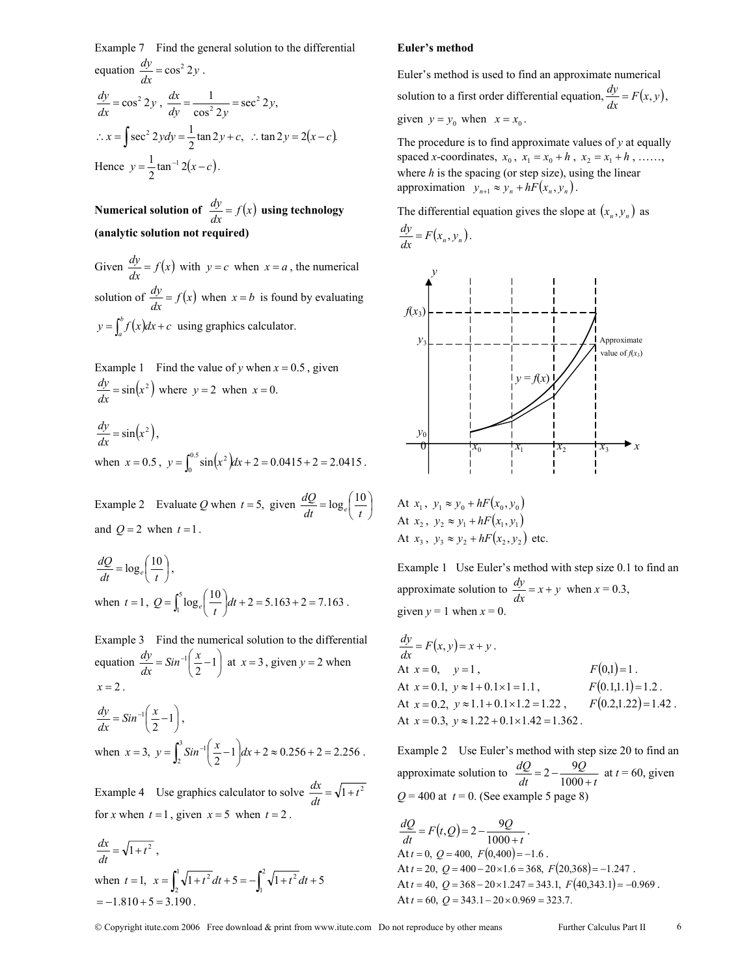Example 7 Find the general solution to the differential equation  $\frac{dy}{dx} = \cos^2 2y$ .  $\frac{dy}{dx} = \cos^2 2y$ ,  $\frac{dx}{dy} = \frac{1}{\cos^2 2y} = \sec^2 2y$ , ∴  $x = \int \sec^2 2y dy = \frac{1}{2} \tan 2y + c$ , ∴tan  $2y = 2(x - c)$ . Hence  $y = \frac{1}{2} \tan^{-1} 2(x - c)$ .

**Numerical solution of**  $\frac{dy}{dx} = f(x)$  **using technology (analytic solution not required)**

Given  $\frac{dy}{dx} = f(x)$  with  $y = c$  when  $x = a$ , the numerical solution of  $\frac{dy}{dx} = f(x)$  when  $x = b$  is found by evaluating  $y = \int_a^b f(x) dx + c$  using graphics calculator.

Example 1 Find the value of *y* when  $x = 0.5$ , given  $\frac{dy}{dx} = \sin(x^2)$  where  $y = 2$  when  $x = 0$ .  $\frac{dy}{dx} = \sin(x^2),$ 

when  $x = 0.5$ ,  $y = \int_0^{0.5} \sin(x^2) dx + 2 = 0.0415 + 2 = 2.0415$ .

Example 2 Evaluate *Q* when  $t = 5$ , given  $\frac{dQ}{dt} = \log_e \left( \frac{10}{t} \right)$ and  $Q = 2$  when  $t = 1$ .

$$
\frac{dQ}{dt} = \log_e \left( \frac{10}{t} \right),
$$
  
when  $t = 1$ ,  $Q = \int_1^5 \log_e \left( \frac{10}{t} \right) dt + 2 = 5.163 + 2 = 7.163$ .

Example 3 Find the numerical solution to the differential equation  $\frac{dy}{dx} = Sin^{-1}(\frac{x}{2} - 1)$  $\frac{dy}{dx} = \sin^{-1}\left(\frac{x}{2} - 1\right)$  at  $x = 3$ , given  $y = 2$  when  $x = 2$ .

$$
\frac{dy}{dx} = Sin^{-1}\left(\frac{x}{2} - 1\right),
$$
  
when  $x = 3$ ,  $y = \int_2^3 Sin^{-1}\left(\frac{x}{2} - 1\right)dx + 2 \approx 0.256 + 2 = 2.256$ .

Example 4 Use graphics calculator to solve  $\frac{dx}{dt} = \sqrt{1 + t^2}$ for *x* when  $t = 1$ , given  $x = 5$  when  $t = 2$ .

$$
\frac{dx}{dt} = \sqrt{1+t^2},
$$
  
when  $t = 1$ ,  $x = \int_2^1 \sqrt{1+t^2} dt + 5 = -\int_1^2 \sqrt{1+t^2} dt + 5$   
= -1.810 + 5 = 3.190.

#### **Euler's method**

Euler's method is used to find an approximate numerical solution to a first order differential equation,  $\frac{dy}{dx} = F(x, y)$ , given  $y = y_0$  when  $x = x_0$ .

The procedure is to find approximate values of *y* at equally spaced *x*-coordinates,  $x_0$ ,  $x_1 = x_0 + h$ ,  $x_2 = x_1 + h$ , ……, where *h* is the spacing (or step size), using the linear approximation  $y_{n+1} \approx y_n + hF(x_n, y_n)$ .

The differential equation gives the slope at  $(x_n, y_n)$  as

$$
\frac{dy}{dx} = F(x_n, y_n).
$$



At 
$$
x_1
$$
,  $y_1 \approx y_0 + hF(x_0, y_0)$   
At  $x_2$ ,  $y_2 \approx y_1 + hF(x_1, y_1)$   
At  $x_3$ ,  $y_3 \approx y_2 + hF(x_2, y_2)$  etc.

Example 1 Use Euler's method with step size 0.1 to find an approximate solution to  $\frac{dy}{dx} = x + y$  when  $x = 0.3$ , given  $y = 1$  when  $x = 0$ .

$$
\frac{dy}{dx} = F(x, y) = x + y.
$$
  
At  $x = 0$ ,  $y = 1$ ,  $F(0,1) = 1$ .  
At  $x = 0.1$ ,  $y \approx 1 + 0.1 \times 1 = 1.1$ ,  $F(0.1,1.1) = 1.2$ .  
At  $x = 0.2$ ,  $y \approx 1.1 + 0.1 \times 1.2 = 1.22$ ,  $F(0.2,1.22) = 1.42$ .  
At  $x = 0.3$ ,  $y \approx 1.22 + 0.1 \times 1.42 = 1.362$ .

Example 2 Use Euler's method with step size 20 to find an approximate solution to  $\frac{dQ}{dt} = 2 - \frac{QQ}{1000 + t}$ *Q dt*  $\frac{dQ}{dt} = 2 - \frac{9Q}{1000 + t}$  at  $t = 60$ , given  $Q = 400$  at  $t = 0$ . (See example 5 page 8)

$$
\frac{dQ}{dt} = F(t,Q) = 2 - \frac{9Q}{1000 + t}.
$$
  
At  $t = 0$ ,  $Q = 400$ ,  $F(0,400) = -1.6$ .  
At  $t = 20$ ,  $Q = 400 - 20 \times 1.6 = 368$ ,  $F(20,368) = -1.247$ .  
At  $t = 40$ ,  $Q = 368 - 20 \times 1.247 = 343.1$ ,  $F(40,343.1) = -0.969$ .  
At  $t = 60$ ,  $Q = 343.1 - 20 \times 0.969 = 323.7$ .

Copyright itute.com 2006 Free download & print from www.itute.com Do not reproduce by other means Further Calculus Part II 6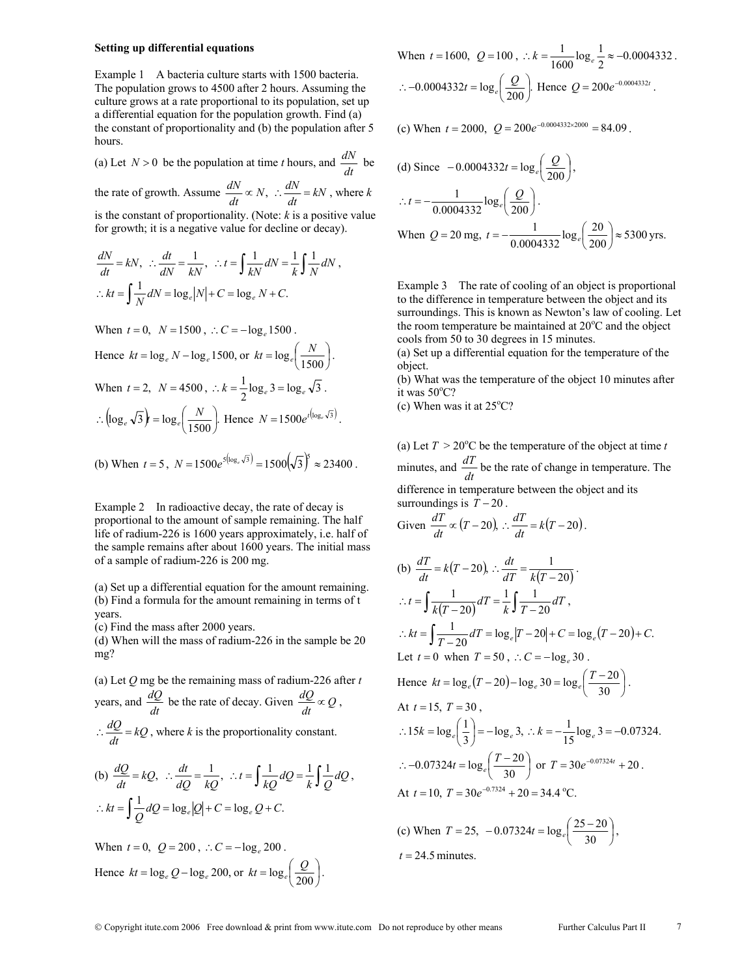#### **Setting up differential equations**

Example 1 A bacteria culture starts with 1500 bacteria. The population grows to 4500 after 2 hours. Assuming the culture grows at a rate proportional to its population, set up a differential equation for the population growth. Find (a) the constant of proportionality and (b) the population after 5 hours.

(a) Let 
$$
N > 0
$$
 be the population at time *t* hours, and  $\frac{dN}{dt}$  be

the rate of growth. Assume 
$$
\frac{dN}{dt} \propto N
$$
,  $\therefore \frac{dN}{dt} = kN$ , where k is the constant of proportionality (Note: k is a positive value

is the constant of proportionality. (Note: *k* is a positive value for growth; it is a negative value for decline or decay).

$$
\frac{dN}{dt} = kN, \quad \therefore \frac{dt}{dN} = \frac{1}{kN}, \quad \therefore t = \int \frac{1}{kN} dN = \frac{1}{k} \int \frac{1}{N} dN,
$$
\n
$$
\therefore kt = \int \frac{1}{N} dN = \log_e |N| + C = \log_e N + C.
$$

When  $t = 0$ ,  $N = 1500$ ,  $\therefore C = -\log_e 1500$ . Hence  $kt = \log_e N - \log_e 1500$ , or  $kt = \log_e \left(\frac{N}{1500}\right)$ .

When 
$$
t = 2
$$
,  $N = 4500$ ,  $\therefore k = \frac{1}{2} \log_e 3 = \log_e \sqrt{3}$ .  
\n $\therefore (\log_e \sqrt{3})^2 = \log_e \left(\frac{N}{1500}\right)$ . Hence  $N = 1500e^{t(\log_e \sqrt{3})}$ .

(b) When 
$$
t = 5
$$
,  $N = 1500e^{5(\log_e \sqrt{3})} = 1500(\sqrt{3})^5 \approx 23400$ .

Example 2 In radioactive decay, the rate of decay is proportional to the amount of sample remaining. The half life of radium-226 is 1600 years approximately, i.e. half of the sample remains after about 1600 years. The initial mass of a sample of radium-226 is 200 mg.

(a) Set up a differential equation for the amount remaining. (b) Find a formula for the amount remaining in terms of t years.

(c) Find the mass after 2000 years.

(d) When will the mass of radium-226 in the sample be 20 mg?

(a) Let *Q* mg be the remaining mass of radium-226 after *t* years, and  $\frac{dQ}{dt}$  be the rate of decay. Given  $\frac{dQ}{dt} \propto Q$ ,  $\therefore \frac{dQ}{dt} = kQ$ , where *k* is the proportionality constant.

(b) 
$$
\frac{dQ}{dt} = kQ
$$
,  $\therefore \frac{dt}{dQ} = \frac{1}{kQ}$ ,  $\therefore t = \int \frac{1}{kQ} dQ = \frac{1}{k} \int \frac{1}{Q} dQ$ ,  
 $\therefore kt = \int \frac{1}{Q} dQ = \log_e|Q| + C = \log_e Q + C$ .

When  $t = 0$ ,  $Q = 200$ ,  $\therefore C = -\log_e 200$ . Hence  $kt = \log_e Q - \log_e 200$ , or  $kt = \log_e \left(\frac{Q}{200}\right)$ .

When 
$$
t = 1600
$$
,  $Q = 100$ ,  $\therefore k = \frac{1}{1600} \log_e \frac{1}{2} \approx -0.0004332$ .  
\n $\therefore -0.0004332t = \log_e \left(\frac{Q}{200}\right)$  Hence  $Q = 200e^{-0.0004332t}$ .

(c) When  $t = 2000$ ,  $Q = 200e^{-0.0004332 \times 2000} = 84.09$ .

(d) Since 
$$
-0.0004332t = \log_e\left(\frac{Q}{200}\right)
$$
,  
\n $\therefore t = -\frac{1}{0.0004332} \log_e\left(\frac{Q}{200}\right)$ .  
\nWhen  $Q = 20$  mg,  $t = -\frac{1}{0.0004332} \log_e\left(\frac{20}{200}\right) \approx 5300$  yrs.

Example 3 The rate of cooling of an object is proportional to the difference in temperature between the object and its surroundings. This is known as Newton's law of cooling. Let the room temperature be maintained at  $20^{\circ}$ C and the object cools from 50 to 30 degrees in 15 minutes.

(a) Set up a differential equation for the temperature of the object.

(b) What was the temperature of the object 10 minutes after it was 50°C?

(c) When was it at  $25^{\circ}$ C?

 $t = 24.5$  minutes.

(a) Let  $T > 20^{\circ}$ C be the temperature of the object at time *t* minutes, and  $\frac{dT}{dt}$  be the rate of change in temperature. The difference in temperature between the object and its surroundings is  $\overline{T}$  − 20.

Given 
$$
\frac{dT}{dt} \propto (T - 20), \therefore \frac{dT}{dt} = k(T - 20).
$$

(b) 
$$
\frac{dT}{dt} = k(T-20), \therefore \frac{dt}{dT} = \frac{1}{k(T-20)}.
$$
  
\n
$$
\therefore t = \int \frac{1}{k(T-20)} dT = \frac{1}{k} \int \frac{1}{T-20} dT,
$$
  
\n
$$
\therefore kt = \int \frac{1}{T-20} dT = \log_e |T-20| + C = \log_e (T-20) + C.
$$
  
\nLet  $t = 0$  when  $T = 50$ ,  $\therefore C = -\log_e 30$ .  
\nHence  $kt = \log_e (T-20) - \log_e 30 = \log_e (\frac{T-20}{30})$ .  
\nAt  $t = 15$ ,  $T = 30$ ,  
\n $\therefore 15k = \log_e (\frac{1}{3}) = -\log_e 3$ ,  $\therefore k = -\frac{1}{15} \log_e 3 = -0.07324$ .  
\n $\therefore -0.07324t = \log_e (\frac{T-20}{30})$  or  $T = 30e^{-0.07324t} + 20$ .  
\nAt  $t = 10$ ,  $T = 30e^{-0.7324} + 20 = 34.4$  °C.  
\n(c) When  $T = 25$ ,  $-0.07324t = \log_e (\frac{25-20}{30})$ ,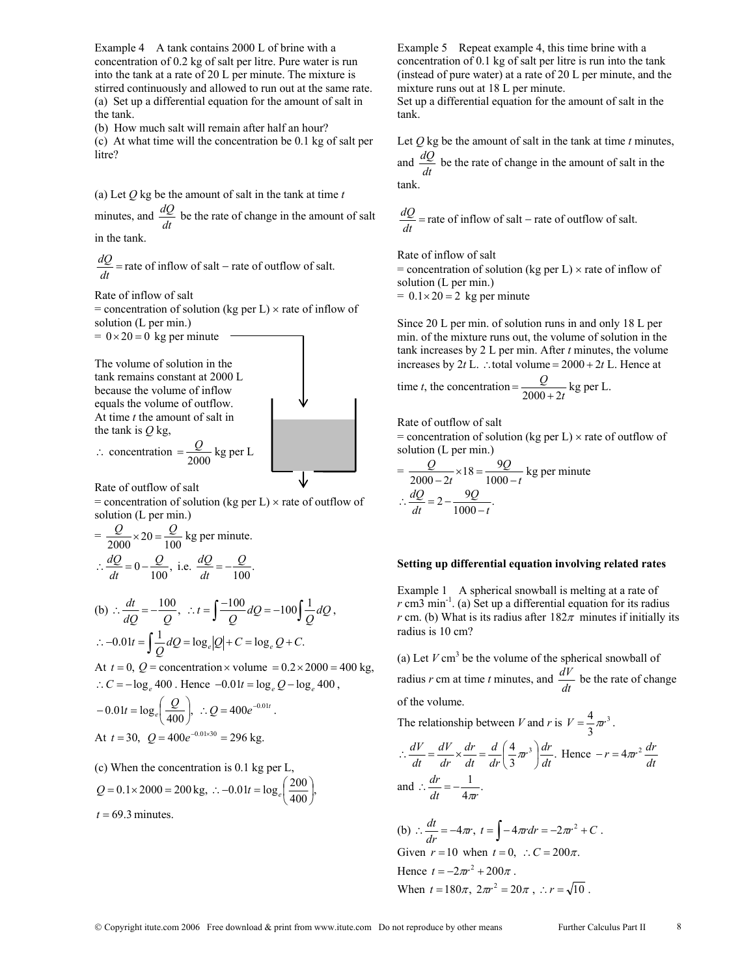Example 4 A tank contains 2000 L of brine with a concentration of 0.2 kg of salt per litre. Pure water is run into the tank at a rate of 20 L per minute. The mixture is stirred continuously and allowed to run out at the same rate. (a) Set up a differential equation for the amount of salt in the tank.

(b) How much salt will remain after half an hour? (c) At what time will the concentration be 0.1 kg of salt per litre?

(a) Let *Q* kg be the amount of salt in the tank at time *t* minutes, and  $\frac{dQ}{dt}$  be the rate of change in the amount of salt

in the tank.

 $\frac{dQ}{dt}$  = rate of inflow of salt – rate of outflow of salt.

Rate of inflow of salt

 $=$  concentration of solution (kg per L)  $\times$  rate of inflow of solution (L per min.)

 $= 0 \times 20 = 0$  kg per minute

The volume of solution in the tank remains constant at 2000 L because the volume of inflow equals the volume of outflow. At time *t* the amount of salt in the tank is *Q* kg,

$$
\therefore \text{ concentration} = \frac{Q}{2000} \text{ kg per L}
$$

Rate of outflow of salt

 $=$  concentration of solution (kg per L)  $\times$  rate of outflow of solution (L per min.)

$$
= \frac{Q}{2000} \times 20 = \frac{Q}{100} \text{ kg per minute.}
$$
  

$$
\therefore \frac{dQ}{dt} = 0 - \frac{Q}{100}, \text{ i.e. } \frac{dQ}{dt} = -\frac{Q}{100}.
$$

(b) 
$$
\therefore \frac{dt}{dQ} = -\frac{100}{Q}, \therefore t = \int \frac{-100}{Q} dQ = -100 \int \frac{1}{Q} dQ,
$$

$$
\therefore -0.01t = \int \frac{1}{Q} dQ = \log_e|Q| + C = \log_e Q + C.
$$
At  $t = 0$ ,  $Q =$  concentration  $\times$  volume =  $-0.2 \times 2000 - 4$ 

At  $t = 0$ ,  $Q =$  concentration  $\times$  volume  $= 0.2 \times 2000 = 400$  kg, ∴  $C = -\log_e 400$ . Hence  $-0.01t = \log_e Q - \log_e 400$ ,

$$
-0.01t = \log_e \left(\frac{Q}{400}\right), \therefore Q = 400e^{-0.01t}.
$$
  
At  $t = 30$ ,  $Q = 400e^{-0.01 \times 30} = 296$  kg.

(c) When the concentration is 
$$
0.1 \, \text{kg}
$$
 per L,

$$
Q = 0.1 \times 2000 = 200 \text{ kg}, \therefore -0.01t = \log_e \left( \frac{200}{400} \right),
$$

 $t = 69.3$  minutes.

Example 5 Repeat example 4, this time brine with a concentration of 0.1 kg of salt per litre is run into the tank (instead of pure water) at a rate of 20 L per minute, and the mixture runs out at 18 L per minute. Set up a differential equation for the amount of salt in the tank.

Let  $Q$  kg be the amount of salt in the tank at time  $t$  minutes,

and  $\frac{dQ}{dt}$  be the rate of change in the amount of salt in the tank.

$$
\frac{dQ}{dt}
$$
 = rate of inflow of salt – rate of outflow of salt.

Rate of inflow of salt

= concentration of solution (kg per L)  $\times$  rate of inflow of solution (L per min.)  $= 0.1 \times 20 = 2$  kg per minute

Since 20 L per min. of solution runs in and only 18 L per min. of the mixture runs out, the volume of solution in the tank increases by 2 L per min. After *t* minutes, the volume increases by 2*t* L. ∴total volume = 2000 + 2*t* L. Hence at

time *t*, the concentration = 
$$
\frac{Q}{2000 + 2t}
$$
 kg per L.

Rate of outflow of salt

 $=$  concentration of solution (kg per L)  $\times$  rate of outflow of solution (L per min.)

$$
= \frac{Q}{2000 - 2t} \times 18 = \frac{9Q}{1000 - t}
$$
 kg per minute  

$$
\therefore \frac{dQ}{dt} = 2 - \frac{9Q}{1000 - t}.
$$

#### **Setting up differential equation involving related rates**

Example 1 A spherical snowball is melting at a rate of  $r \text{ cm}^3 \text{ min}^{-1}$ . (a) Set up a differential equation for its radius *r* cm. (b) What is its radius after  $182\pi$  minutes if initially its radius is 10 cm?

(a) Let  $V \text{ cm}^3$  be the volume of the spherical snowball of radius *r* cm at time *t* minutes, and  $\frac{dV}{dt}$  be the rate of change of the volume.

The relationship between *V* and *r* is  $V = \frac{4}{3} \pi r^3$ .

$$
\therefore \frac{dV}{dt} = \frac{dV}{dr} \times \frac{dr}{dt} = \frac{d}{dr} \left(\frac{4}{3}\pi r^3\right) \frac{dr}{dt}.
$$
 Hence  $-r = 4\pi r^2 \frac{dr}{dt}$   
and  $\therefore \frac{dr}{dt} = -\frac{1}{4\pi r}.$ 

(b)  $\therefore \frac{dt}{dr} = -4\pi r, t = \int -4\pi r dr = -2\pi r^2 + C$ . Given  $r = 10$  when  $t = 0$ ,  $\therefore C = 200\pi$ . Hence  $t = -2\pi r^2 + 200\pi$ . When  $t = 180\pi$ ,  $2\pi r^2 = 20\pi$ ,  $\therefore r = \sqrt{10}$ .